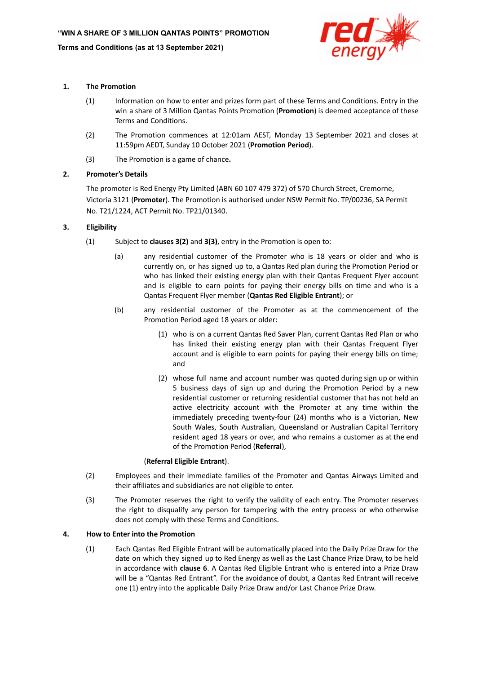

## **1. The Promotion**

- (1) Information on how to enter and prizes form part of these Terms and Conditions. Entry in the win a share of 3 Million Qantas Points Promotion (**Promotion**) is deemed acceptance of these Terms and Conditions.
- (2) The Promotion commences at 12:01am AEST, Monday 13 September 2021 and closes at 11:59pm AEDT, Sunday 10 October 2021 (**Promotion Period**).
- (3) The Promotion is a game of chance**.**

## **2. Promoter's Details**

The promoter is Red Energy Pty Limited (ABN 60 107 479 372) of 570 Church Street, Cremorne, Victoria 3121 (**Promoter**). The Promotion is authorised under NSW Permit No. TP/00236, SA Permit No. T21/1224, ACT Permit No. TP21/01340.

## **3. Eligibility**

- (1) Subject to **clauses 3(2)** and **3(3)**, entry in the Promotion is open to:
	- (a) any residential customer of the Promoter who is 18 years or older and who is currently on, or has signed up to, a Qantas Red plan during the Promotion Period or who has linked their existing energy plan with their Qantas Frequent Flyer account and is eligible to earn points for paying their energy bills on time and who is a Qantas Frequent Flyer member (**Qantas Red Eligible Entrant**); or
	- (b) any residential customer of the Promoter as at the commencement of the Promotion Period aged 18 years or older:
		- (1) who is on a current Qantas Red Saver Plan, current Qantas Red Plan or who has linked their existing energy plan with their Qantas Frequent Flyer account and is eligible to earn points for paying their energy bills on time; and
		- (2) whose full name and account number was quoted during sign up or within 5 business days of sign up and during the Promotion Period by a new residential customer or returning residential customer that has not held an active electricity account with the Promoter at any time within the immediately preceding twenty-four (24) months who is a Victorian, New South Wales, South Australian, Queensland or Australian Capital Territory resident aged 18 years or over, and who remains a customer as at the end of the Promotion Period (**Referral**),

## (**Referral Eligible Entrant**).

- (2) Employees and their immediate families of the Promoter and Qantas Airways Limited and their affiliates and subsidiaries are not eligible to enter.
- (3) The Promoter reserves the right to verify the validity of each entry. The Promoter reserves the right to disqualify any person for tampering with the entry process or who otherwise does not comply with these Terms and Conditions.

## **4. How to Enter into the Promotion**

(1) Each Qantas Red Eligible Entrant will be automatically placed into the Daily Prize Draw for the date on which they signed up to Red Energy as well as the Last Chance Prize Draw, to be held in accordance with **clause 6**. A Qantas Red Eligible Entrant who is entered into a Prize Draw will be a "Qantas Red Entrant". For the avoidance of doubt, a Qantas Red Entrant will receive one (1) entry into the applicable Daily Prize Draw and/or Last Chance Prize Draw.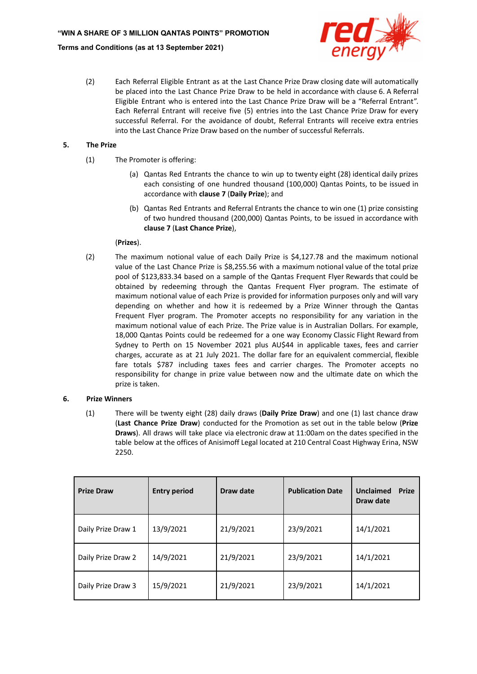

(2) Each Referral Eligible Entrant as at the Last Chance Prize Draw closing date will automatically be placed into the Last Chance Prize Draw to be held in accordance with clause 6. A Referral Eligible Entrant who is entered into the Last Chance Prize Draw will be a "Referral Entrant". Each Referral Entrant will receive five (5) entries into the Last Chance Prize Draw for every successful Referral. For the avoidance of doubt, Referral Entrants will receive extra entries into the Last Chance Prize Draw based on the number of successful Referrals.

## **5. The Prize**

- (1) The Promoter is offering:
	- (a) Qantas Red Entrants the chance to win up to twenty eight (28) identical daily prizes each consisting of one hundred thousand (100,000) Qantas Points, to be issued in accordance with **clause 7** (**Daily Prize**); and
	- (b) Qantas Red Entrants and Referral Entrants the chance to win one (1) prize consisting of two hundred thousand (200,000) Qantas Points, to be issued in accordance with **clause 7** (**Last Chance Prize**),

## (**Prizes**).

(2) The maximum notional value of each Daily Prize is \$4,127.78 and the maximum notional value of the Last Chance Prize is \$8,255.56 with a maximum notional value of the total prize pool of \$123,833.34 based on a sample of the Qantas Frequent Flyer Rewards that could be obtained by redeeming through the Qantas Frequent Flyer program. The estimate of maximum notional value of each Prize is provided for information purposes only and will vary depending on whether and how it is redeemed by a Prize Winner through the Qantas Frequent Flyer program. The Promoter accepts no responsibility for any variation in the maximum notional value of each Prize. The Prize value is in Australian Dollars. For example, 18,000 Qantas Points could be redeemed for a one way Economy Classic Flight Reward from Sydney to Perth on 15 November 2021 plus AU\$44 in applicable taxes, fees and carrier charges, accurate as at 21 July 2021. The dollar fare for an equivalent commercial, flexible fare totals \$787 including taxes fees and carrier charges. The Promoter accepts no responsibility for change in prize value between now and the ultimate date on which the prize is taken.

# **6. Prize Winners**

(1) There will be twenty eight (28) daily draws (**Daily Prize Draw**) and one (1) last chance draw (**Last Chance Prize Draw**) conducted for the Promotion as set out in the table below (**Prize Draws**). All draws will take place via electronic draw at 11:00am on the dates specified in the table below at the offices of Anisimoff Legal located at 210 Central Coast Highway Erina, NSW 2250.

| <b>Prize Draw</b>  | <b>Entry period</b> | Draw date | <b>Publication Date</b> | Unclaimed<br><b>Prize</b><br>Draw date |
|--------------------|---------------------|-----------|-------------------------|----------------------------------------|
| Daily Prize Draw 1 | 13/9/2021           | 21/9/2021 | 23/9/2021               | 14/1/2021                              |
| Daily Prize Draw 2 | 14/9/2021           | 21/9/2021 | 23/9/2021               | 14/1/2021                              |
| Daily Prize Draw 3 | 15/9/2021           | 21/9/2021 | 23/9/2021               | 14/1/2021                              |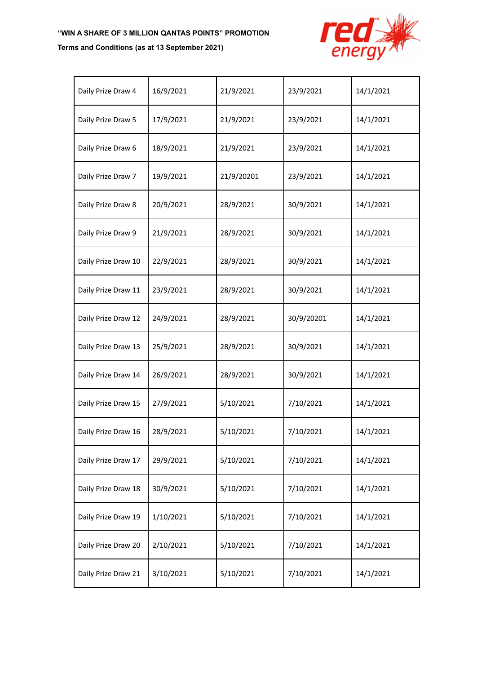# **"WIN A SHARE OF 3 MILLION QANTAS POINTS" PROMOTION**

## **Terms and Conditions (as at 13 September 2021)**



| Daily Prize Draw 4  | 16/9/2021 | 21/9/2021  | 23/9/2021  | 14/1/2021 |
|---------------------|-----------|------------|------------|-----------|
| Daily Prize Draw 5  | 17/9/2021 | 21/9/2021  | 23/9/2021  | 14/1/2021 |
| Daily Prize Draw 6  | 18/9/2021 | 21/9/2021  | 23/9/2021  | 14/1/2021 |
| Daily Prize Draw 7  | 19/9/2021 | 21/9/20201 | 23/9/2021  | 14/1/2021 |
| Daily Prize Draw 8  | 20/9/2021 | 28/9/2021  | 30/9/2021  | 14/1/2021 |
| Daily Prize Draw 9  | 21/9/2021 | 28/9/2021  | 30/9/2021  | 14/1/2021 |
| Daily Prize Draw 10 | 22/9/2021 | 28/9/2021  | 30/9/2021  | 14/1/2021 |
| Daily Prize Draw 11 | 23/9/2021 | 28/9/2021  | 30/9/2021  | 14/1/2021 |
| Daily Prize Draw 12 | 24/9/2021 | 28/9/2021  | 30/9/20201 | 14/1/2021 |
| Daily Prize Draw 13 | 25/9/2021 | 28/9/2021  | 30/9/2021  | 14/1/2021 |
| Daily Prize Draw 14 | 26/9/2021 | 28/9/2021  | 30/9/2021  | 14/1/2021 |
| Daily Prize Draw 15 | 27/9/2021 | 5/10/2021  | 7/10/2021  | 14/1/2021 |
| Daily Prize Draw 16 | 28/9/2021 | 5/10/2021  | 7/10/2021  | 14/1/2021 |
| Daily Prize Draw 17 | 29/9/2021 | 5/10/2021  | 7/10/2021  | 14/1/2021 |
| Daily Prize Draw 18 | 30/9/2021 | 5/10/2021  | 7/10/2021  | 14/1/2021 |
| Daily Prize Draw 19 | 1/10/2021 | 5/10/2021  | 7/10/2021  | 14/1/2021 |
| Daily Prize Draw 20 | 2/10/2021 | 5/10/2021  | 7/10/2021  | 14/1/2021 |
| Daily Prize Draw 21 | 3/10/2021 | 5/10/2021  | 7/10/2021  | 14/1/2021 |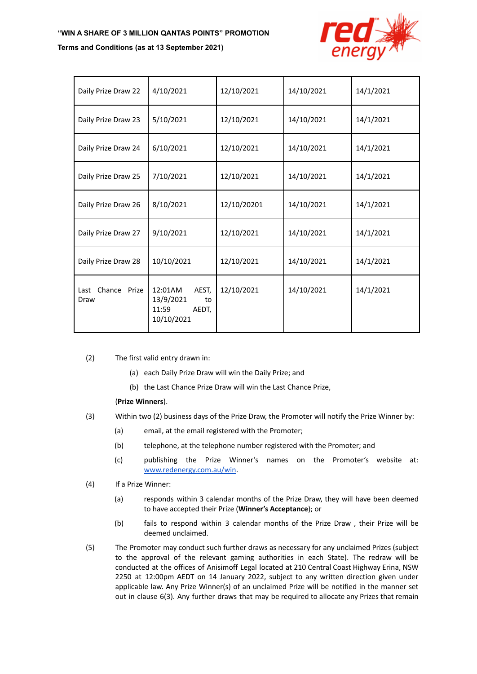## **"WIN A SHARE OF 3 MILLION QANTAS POINTS" PROMOTION**

#### **Terms and Conditions (as at 13 September 2021)**



| Daily Prize Draw 22       | 4/10/2021                                                           | 12/10/2021  | 14/10/2021 | 14/1/2021 |
|---------------------------|---------------------------------------------------------------------|-------------|------------|-----------|
| Daily Prize Draw 23       | 5/10/2021                                                           | 12/10/2021  | 14/10/2021 | 14/1/2021 |
| Daily Prize Draw 24       | 6/10/2021                                                           | 12/10/2021  | 14/10/2021 | 14/1/2021 |
| Daily Prize Draw 25       | 7/10/2021                                                           | 12/10/2021  | 14/10/2021 | 14/1/2021 |
| Daily Prize Draw 26       | 8/10/2021                                                           | 12/10/20201 | 14/10/2021 | 14/1/2021 |
| Daily Prize Draw 27       | 9/10/2021                                                           | 12/10/2021  | 14/10/2021 | 14/1/2021 |
| Daily Prize Draw 28       | 10/10/2021                                                          | 12/10/2021  | 14/10/2021 | 14/1/2021 |
| Last Chance Prize<br>Draw | AEST,<br>12:01AM<br>13/9/2021<br>to<br>11:59<br>AEDT,<br>10/10/2021 | 12/10/2021  | 14/10/2021 | 14/1/2021 |

- (2) The first valid entry drawn in:
	- (a) each Daily Prize Draw will win the Daily Prize; and
	- (b) the Last Chance Prize Draw will win the Last Chance Prize,

## (**Prize Winners**).

- (3) Within two (2) business days of the Prize Draw, the Promoter will notify the Prize Winner by:
	- (a) email, at the email registered with the Promoter;
	- (b) telephone, at the telephone number registered with the Promoter; and
	- (c) publishing the Prize Winner's names on the Promoter's website at: [www.redenergy.com.au/win](http://www.redenergy.com.au/win).
- (4) If a Prize Winner:
	- (a) responds within 3 calendar months of the Prize Draw, they will have been deemed to have accepted their Prize (**Winner's Acceptance**); or
	- (b) fails to respond within 3 calendar months of the Prize Draw , their Prize will be deemed unclaimed.
- (5) The Promoter may conduct such further draws as necessary for any unclaimed Prizes (subject to the approval of the relevant gaming authorities in each State). The redraw will be conducted at the offices of Anisimoff Legal located at 210 Central Coast Highway Erina, NSW 2250 at 12:00pm AEDT on 14 January 2022, subject to any written direction given under applicable law. Any Prize Winner(s) of an unclaimed Prize will be notified in the manner set out in clause 6(3). Any further draws that may be required to allocate any Prizes that remain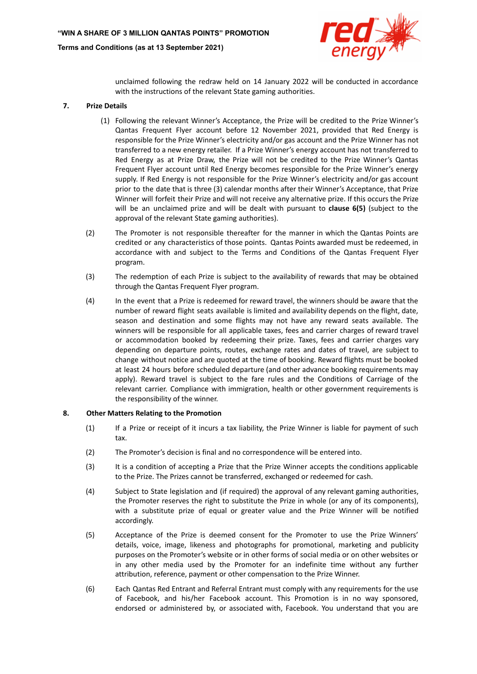

unclaimed following the redraw held on 14 January 2022 will be conducted in accordance with the instructions of the relevant State gaming authorities.

#### **7. Prize Details**

- (1) Following the relevant Winner's Acceptance, the Prize will be credited to the Prize Winner's Qantas Frequent Flyer account before 12 November 2021, provided that Red Energy is responsible for the Prize Winner's electricity and/or gas account and the Prize Winner has not transferred to a new energy retailer. If a Prize Winner's energy account has not transferred to Red Energy as at Prize Draw, the Prize will not be credited to the Prize Winner's Qantas Frequent Flyer account until Red Energy becomes responsible for the Prize Winner's energy supply. If Red Energy is not responsible for the Prize Winner's electricity and/or gas account prior to the date that is three (3) calendar months after their Winner's Acceptance, that Prize Winner will forfeit their Prize and will not receive any alternative prize. If this occurs the Prize will be an unclaimed prize and will be dealt with pursuant to **clause 6(5)** (subject to the approval of the relevant State gaming authorities).
- (2) The Promoter is not responsible thereafter for the manner in which the Qantas Points are credited or any characteristics of those points. Qantas Points awarded must be redeemed, in accordance with and subject to the Terms and Conditions of the Qantas Frequent Flyer program.
- (3) The redemption of each Prize is subject to the availability of rewards that may be obtained through the Qantas Frequent Flyer program.
- (4) In the event that a Prize is redeemed for reward travel, the winners should be aware that the number of reward flight seats available is limited and availability depends on the flight, date, season and destination and some flights may not have any reward seats available. The winners will be responsible for all applicable taxes, fees and carrier charges of reward travel or accommodation booked by redeeming their prize. Taxes, fees and carrier charges vary depending on departure points, routes, exchange rates and dates of travel, are subject to change without notice and are quoted at the time of booking. Reward flights must be booked at least 24 hours before scheduled departure (and other advance booking requirements may apply). Reward travel is subject to the fare rules and the Conditions of Carriage of the relevant carrier. Compliance with immigration, health or other government requirements is the responsibility of the winner.

#### **8. Other Matters Relating to the Promotion**

- (1) If a Prize or receipt of it incurs a tax liability, the Prize Winner is liable for payment of such tax.
- (2) The Promoter's decision is final and no correspondence will be entered into.
- (3) It is a condition of accepting a Prize that the Prize Winner accepts the conditions applicable to the Prize. The Prizes cannot be transferred, exchanged or redeemed for cash.
- (4) Subject to State legislation and (if required) the approval of any relevant gaming authorities, the Promoter reserves the right to substitute the Prize in whole (or any of its components), with a substitute prize of equal or greater value and the Prize Winner will be notified accordingly.
- (5) Acceptance of the Prize is deemed consent for the Promoter to use the Prize Winners' details, voice, image, likeness and photographs for promotional, marketing and publicity purposes on the Promoter's website or in other forms of social media or on other websites or in any other media used by the Promoter for an indefinite time without any further attribution, reference, payment or other compensation to the Prize Winner.
- (6) Each Qantas Red Entrant and Referral Entrant must comply with any requirements for the use of Facebook, and his/her Facebook account. This Promotion is in no way sponsored, endorsed or administered by, or associated with, Facebook. You understand that you are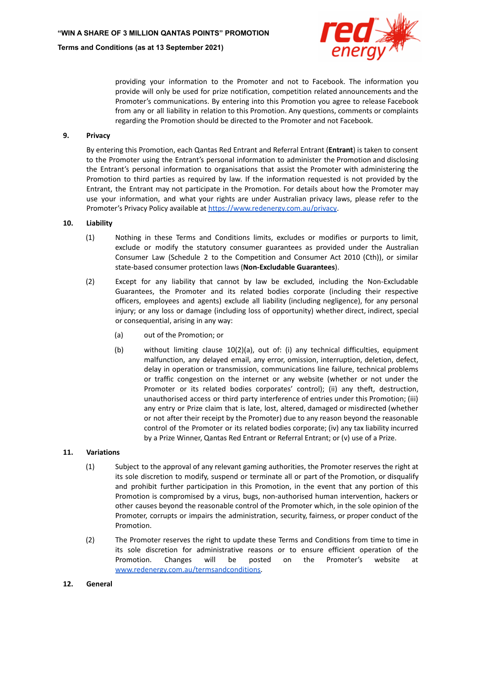

providing your information to the Promoter and not to Facebook. The information you provide will only be used for prize notification, competition related announcements and the Promoter's communications. By entering into this Promotion you agree to release Facebook from any or all liability in relation to this Promotion. Any questions, comments or complaints regarding the Promotion should be directed to the Promoter and not Facebook.

### **9. Privacy**

By entering this Promotion, each Qantas Red Entrant and Referral Entrant (**Entrant**) is taken to consent to the Promoter using the Entrant's personal information to administer the Promotion and disclosing the Entrant's personal information to organisations that assist the Promoter with administering the Promotion to third parties as required by law. If the information requested is not provided by the Entrant, the Entrant may not participate in the Promotion. For details about how the Promoter may use your information, and what your rights are under Australian privacy laws, please refer to the Promoter's Privacy Policy available at <https://www.redenergy.com.au/privacy>.

#### **10. Liability**

- (1) Nothing in these Terms and Conditions limits, excludes or modifies or purports to limit, exclude or modify the statutory consumer guarantees as provided under the Australian Consumer Law (Schedule 2 to the Competition and Consumer Act 2010 (Cth)), or similar state-based consumer protection laws (**Non-Excludable Guarantees**).
- (2) Except for any liability that cannot by law be excluded, including the Non-Excludable Guarantees, the Promoter and its related bodies corporate (including their respective officers, employees and agents) exclude all liability (including negligence), for any personal injury; or any loss or damage (including loss of opportunity) whether direct, indirect, special or consequential, arising in any way:
	- (a) out of the Promotion; or
	- (b) without limiting clause 10(2)(a), out of: (i) any technical difficulties, equipment malfunction, any delayed email, any error, omission, interruption, deletion, defect, delay in operation or transmission, communications line failure, technical problems or traffic congestion on the internet or any website (whether or not under the Promoter or its related bodies corporates' control); (ii) any theft, destruction, unauthorised access or third party interference of entries under this Promotion; (iii) any entry or Prize claim that is late, lost, altered, damaged or misdirected (whether or not after their receipt by the Promoter) due to any reason beyond the reasonable control of the Promoter or its related bodies corporate; (iv) any tax liability incurred by a Prize Winner, Qantas Red Entrant or Referral Entrant; or (v) use of a Prize.

#### **11. Variations**

- (1) Subject to the approval of any relevant gaming authorities, the Promoter reserves the right at its sole discretion to modify, suspend or terminate all or part of the Promotion, or disqualify and prohibit further participation in this Promotion, in the event that any portion of this Promotion is compromised by a virus, bugs, non-authorised human intervention, hackers or other causes beyond the reasonable control of the Promoter which, in the sole opinion of the Promoter, corrupts or impairs the administration, security, fairness, or proper conduct of the Promotion.
- (2) The Promoter reserves the right to update these Terms and Conditions from time to time in its sole discretion for administrative reasons or to ensure efficient operation of the Promotion. Changes will be posted on the Promoter's website at [www.redenergy.com.au/termsandconditions.](http://www.redenergy.com.au/termsandconditions)

#### **12. General**